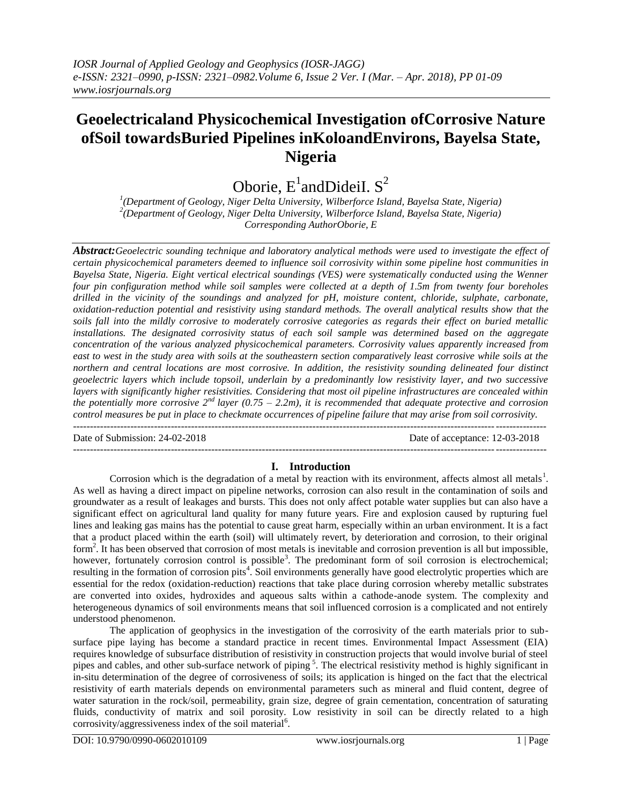# **Geoelectricaland Physicochemical Investigation ofCorrosive Nature ofSoil towardsBuried Pipelines inKoloandEnvirons, Bayelsa State, Nigeria**

Oborie,  $E^1$ andDideiI. S<sup>2</sup>

*1 (Department of Geology, Niger Delta University, Wilberforce Island, Bayelsa State, Nigeria) 2 (Department of Geology, Niger Delta University, Wilberforce Island, Bayelsa State, Nigeria) Corresponding AuthorOborie, E*

*Abstract:Geoelectric sounding technique and laboratory analytical methods were used to investigate the effect of certain physicochemical parameters deemed to influence soil corrosivity within some pipeline host communities in Bayelsa State, Nigeria. Eight vertical electrical soundings (VES) were systematically conducted using the Wenner four pin configuration method while soil samples were collected at a depth of 1.5m from twenty four boreholes drilled in the vicinity of the soundings and analyzed for pH, moisture content, chloride, sulphate, carbonate, oxidation-reduction potential and resistivity using standard methods. The overall analytical results show that the soils fall into the mildly corrosive to moderately corrosive categories as regards their effect on buried metallic installations. The designated corrosivity status of each soil sample was determined based on the aggregate concentration of the various analyzed physicochemical parameters. Corrosivity values apparently increased from east to west in the study area with soils at the southeastern section comparatively least corrosive while soils at the northern and central locations are most corrosive. In addition, the resistivity sounding delineated four distinct geoelectric layers which include topsoil, underlain by a predominantly low resistivity layer, and two successive layers with significantly higher resistivities. Considering that most oil pipeline infrastructures are concealed within the potentially more corrosive 2nd layer (0.75 – 2.2m), it is recommended that adequate protective and corrosion control measures be put in place to checkmate occurrences of pipeline failure that may arise from soil corrosivity.* --------------------------------------------------------------------------------------------------------------------------------------------

Date of Submission: 24-02-2018 Date of acceptance: 12-03-2018

# --------------------------------------------------------------------------------------------------------------------------------------*------* **I. Introduction**

Corrosion which is the degradation of a metal by reaction with its environment, affects almost all metals<sup>1</sup>. As well as having a direct impact on pipeline networks, corrosion can also result in the contamination of soils and groundwater as a result of leakages and bursts. This does not only affect potable water supplies but can also have a significant effect on agricultural land quality for many future years. Fire and explosion caused by rupturing fuel lines and leaking gas mains has the potential to cause great harm, especially within an urban environment. It is a fact that a product placed within the earth (soil) will ultimately revert, by deterioration and corrosion, to their original form<sup>2</sup>. It has been observed that corrosion of most metals is inevitable and corrosion prevention is all but impossible, however, fortunately corrosion control is possible<sup>3</sup>. The predominant form of soil corrosion is electrochemical; resulting in the formation of corrosion pits<sup>4</sup>. Soil environments generally have good electrolytic properties which are essential for the redox (oxidation-reduction) reactions that take place during corrosion whereby metallic substrates are converted into oxides, hydroxides and aqueous salts within a cathode-anode system. The complexity and heterogeneous dynamics of soil environments means that soil influenced corrosion is a complicated and not entirely understood phenomenon.

The application of geophysics in the investigation of the corrosivity of the earth materials prior to subsurface pipe laying has become a standard practice in recent times. Environmental Impact Assessment (EIA) requires knowledge of subsurface distribution of resistivity in construction projects that would involve burial of steel pipes and cables, and other sub-surface network of piping<sup>5</sup>. The electrical resistivity method is highly significant in in-situ determination of the degree of corrosiveness of soils; its application is hinged on the fact that the electrical resistivity of earth materials depends on environmental parameters such as mineral and fluid content, degree of water saturation in the rock/soil, permeability, grain size, degree of grain cementation, concentration of saturating fluids, conductivity of matrix and soil porosity. Low resistivity in soil can be directly related to a high corrosivity/aggressiveness index of the soil material<sup>6</sup>.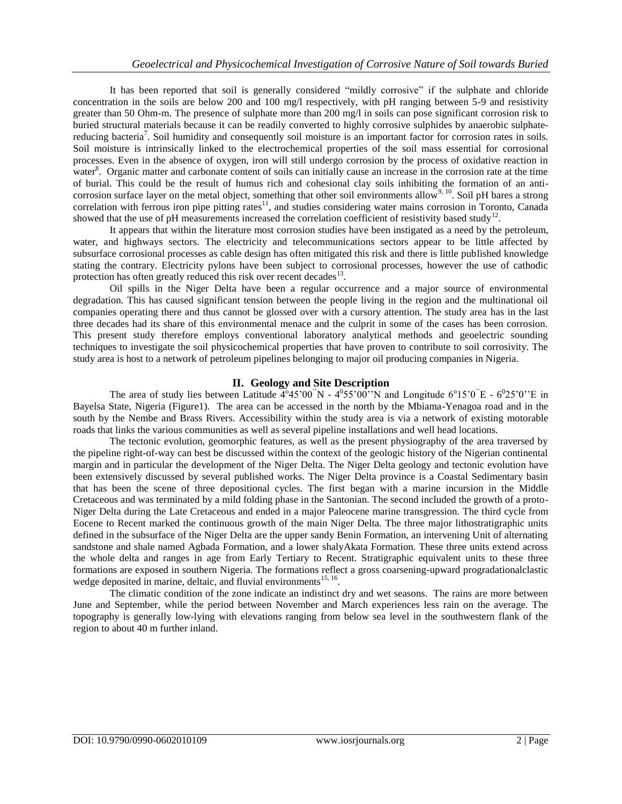It has been reported that soil is generally considered "mildly corrosive" if the sulphate and chloride concentration in the soils are below 200 and 100 mg/l respectively, with pH ranging between 5-9 and resistivity greater than 50 Ohm-m. The presence of sulphate more than 200 mg/l in soils can pose significant corrosion risk to buried structural materials because it can be readily converted to highly corrosive sulphides by anaerobic sulphatereducing bacteria<sup>7</sup>. Soil humidity and consequently soil moisture is an important factor for corrosion rates in soils. Soil moisture is intrinsically linked to the electrochemical properties of the soil mass essential for corrosional processes. Even in the absence of oxygen, iron will still undergo corrosion by the process of oxidative reaction in water<sup>8</sup>. Organic matter and carbonate content of soils can initially cause an increase in the corrosion rate at the time of burial. This could be the result of humus rich and cohesional clay soils inhibiting the formation of an anticorrosion surface layer on the metal object, something that other soil environments allow,  $^{9, 10}$ . Soil pH bares a strong correlation with ferrous iron pipe pitting rates<sup>11</sup>, and studies considering water mains corrosion in Toronto, Canada showed that the use of pH measurements increased the correlation coefficient of resistivity based study<sup>12</sup>.

It appears that within the literature most corrosion studies have been instigated as a need by the petroleum, water, and highways sectors. The electricity and telecommunications sectors appear to be little affected by subsurface corrosional processes as cable design has often mitigated this risk and there is little published knowledge stating the contrary. Electricity pylons have been subject to corrosional processes, however the use of cathodic protection has often greatly reduced this risk over recent decades $^{13}$ .

Oil spills in the Niger Delta have been a regular occurrence and a major source of environmental degradation. This has caused significant tension between the people living in the region and the multinational oil companies operating there and thus cannot be glossed over with a cursory attention. The study area has in the last three decades had its share of this environmental menace and the culprit in some of the cases has been corrosion. This present study therefore employs conventional laboratory analytical methods and geoelectric sounding techniques to investigate the soil physicochemical properties that have proven to contribute to soil corrosivity. The study area is host to a network of petroleum pipelines belonging to major oil producing companies in Nigeria.

## **II. Geology and Site Description**

The area of study lies between Latitude  $4^{\circ}45'00''N - 4^{\circ}55'00''N$  and Longitude  $6^{\circ}15'0''E - 6^{\circ}25'0''E$  in Bayelsa State, Nigeria (Figure1). The area can be accessed in the north by the Mbiama-Yenagoa road and in the south by the Nembe and Brass Rivers. Accessibility within the study area is via a network of existing motorable roads that links the various communities as well as several pipeline installations and well head locations.

The tectonic evolution, geomorphic features, as well as the present physiography of the area traversed by the pipeline right-of-way can best be discussed within the context of the geologic history of the Nigerian continental margin and in particular the development of the Niger Delta. The Niger Delta geology and tectonic evolution have been extensively discussed by several published works. The Niger Delta province is a Coastal Sedimentary basin that has been the scene of three depositional cycles. The first began with a marine incursion in the Middle Cretaceous and was terminated by a mild folding phase in the Santonian. The second included the growth of a proto-Niger Delta during the Late Cretaceous and ended in a major Paleocene marine transgression. The third cycle from Eocene to Recent marked the continuous growth of the main Niger Delta. The three major lithostratigraphic units defined in the subsurface of the Niger Delta are the upper sandy Benin Formation, an intervening Unit of alternating sandstone and shale named Agbada Formation, and a lower shalyAkata Formation. These three units extend across the whole delta and ranges in age from Early Tertiary to Recent. Stratigraphic equivalent units to these three formations are exposed in southern Nigeria. The formations reflect a gross coarsening-upward progradationalclastic wedge deposited in marine, deltaic, and fluvial environments  $15, 16$ .

The climatic condition of the zone indicate an indistinct dry and wet seasons. The rains are more between June and September, while the period between November and March experiences less rain on the average. The topography is generally low-lying with elevations ranging from below sea level in the southwestern flank of the region to about 40 m further inland.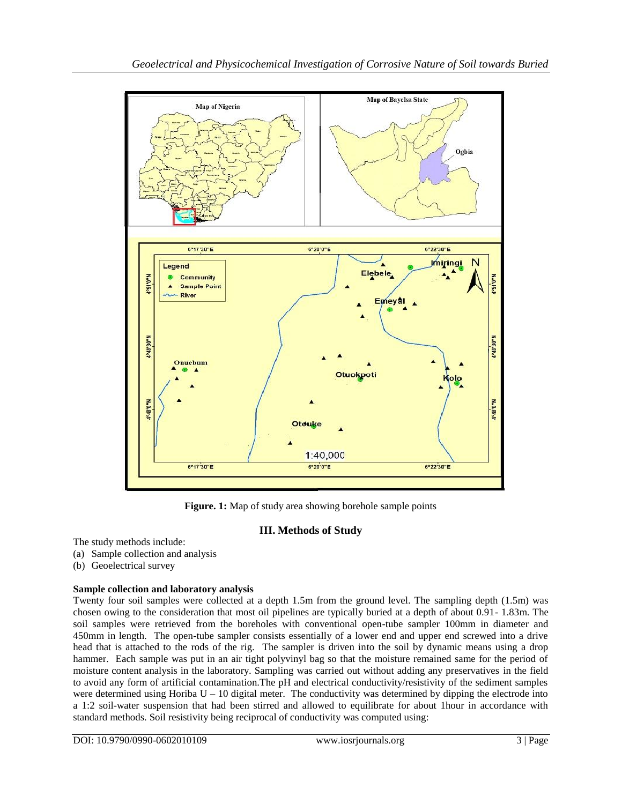

**Figure. 1:** Map of study area showing borehole sample points

# **III. Methods of Study**

The study methods include:

- (a) Sample collection and analysis
- (b) Geoelectrical survey

# **Sample collection and laboratory analysis**

Twenty four soil samples were collected at a depth 1.5m from the ground level. The sampling depth (1.5m) was chosen owing to the consideration that most oil pipelines are typically buried at a depth of about 0.91- 1.83m. The soil samples were retrieved from the boreholes with conventional open-tube sampler 100mm in diameter and 450mm in length. The open-tube sampler consists essentially of a lower end and upper end screwed into a drive head that is attached to the rods of the rig. The sampler is driven into the soil by dynamic means using a drop hammer. Each sample was put in an air tight polyvinyl bag so that the moisture remained same for the period of moisture content analysis in the laboratory. Sampling was carried out without adding any preservatives in the field to avoid any form of artificial contamination.The pH and electrical conductivity/resistivity of the sediment samples were determined using Horiba  $U - 10$  digital meter. The conductivity was determined by dipping the electrode into a 1:2 soil-water suspension that had been stirred and allowed to equilibrate for about 1hour in accordance with standard methods. Soil resistivity being reciprocal of conductivity was computed using: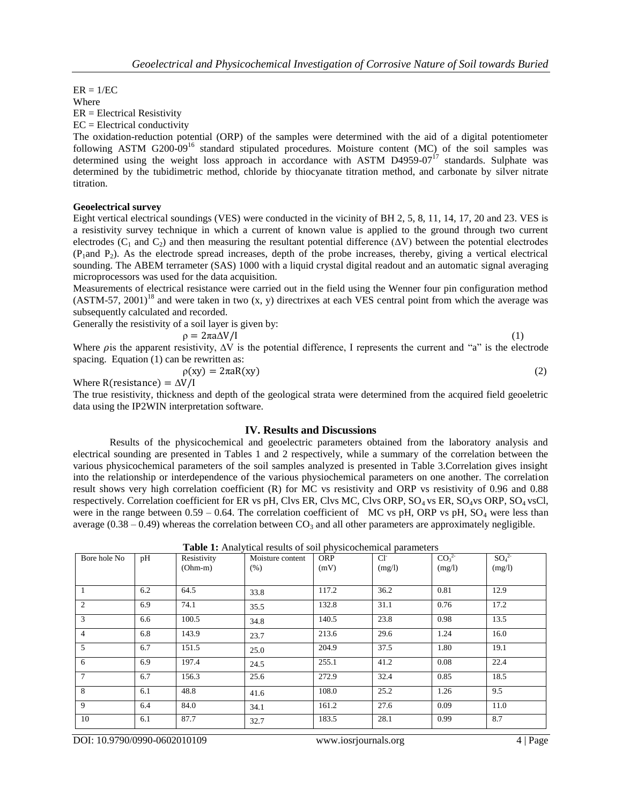$ER = 1/EC$ Where ER = Electrical Resistivity  $EC = Electrical conductivity$ 

The oxidation-reduction potential (ORP) of the samples were determined with the aid of a digital potentiometer following ASTM  $G200-09^{16}$  standard stipulated procedures. Moisture content (MC) of the soil samples was determined using the weight loss approach in accordance with ASTM D4959-07 $^{17}$  standards. Sulphate was determined by the tubidimetric method, chloride by thiocyanate titration method, and carbonate by silver nitrate titration.

## **Geoelectrical survey**

Eight vertical electrical soundings (VES) were conducted in the vicinity of BH 2, 5, 8, 11, 14, 17, 20 and 23. VES is a resistivity survey technique in which a current of known value is applied to the ground through two current electrodes ( $C_1$  and  $C_2$ ) and then measuring the resultant potential difference ( $\Delta V$ ) between the potential electrodes  $(P_1$ and  $P_2$ ). As the electrode spread increases, depth of the probe increases, thereby, giving a vertical electrical sounding. The ABEM terrameter (SAS) 1000 with a liquid crystal digital readout and an automatic signal averaging microprocessors was used for the data acquisition.

Measurements of electrical resistance were carried out in the field using the Wenner four pin configuration method  $(ASTM-57, 2001)^{18}$  and were taken in two  $(x, y)$  directrixes at each VES central point from which the average was subsequently calculated and recorded.

Generally the resistivity of a soil layer is given by:

$$
\rho = 2\pi a \Delta V / I \tag{1}
$$

Where  $\rho$  is the apparent resistivity,  $\Delta V$  is the potential difference, I represents the current and "a" is the electrode spacing. Equation (1) can be rewritten as:

$$
\rho(xy) = 2\pi aR(xy) \tag{2}
$$

Where  $R$ (resistance) =  $\Delta V/I$ 

The true resistivity, thickness and depth of the geological strata were determined from the acquired field geoeletric data using the IP2WIN interpretation software.

### **IV. Results and Discussions**

Results of the physicochemical and geoelectric parameters obtained from the laboratory analysis and electrical sounding are presented in Tables 1 and 2 respectively, while a summary of the correlation between the various physicochemical parameters of the soil samples analyzed is presented in Table 3.Correlation gives insight into the relationship or interdependence of the various physiochemical parameters on one another. The correlation result shows very high correlation coefficient (R) for MC vs resistivity and ORP vs resistivity of 0.96 and 0.88 respectively. Correlation coefficient for ER vs pH, Clvs ER, Clvs MC, Clvs ORP,  $SO_4$  vs ER,  $SO_4$ vs ORP,  $SO_4$  vsCl, were in the range between  $0.59 - 0.64$ . The correlation coefficient of MC vs pH, ORP vs pH, SO<sub>4</sub> were less than average ( $0.38 - 0.49$ ) whereas the correlation between  $CO<sub>3</sub>$  and all other parameters are approximately negligible.

| <b>Table 1:</b> Analytical results of soil physicochemical parameters |   |  |  |  |
|-----------------------------------------------------------------------|---|--|--|--|
|                                                                       | . |  |  |  |

| Bore hole No    | pH  | Resistivity<br>$(Ohm-m)$ | Moisture content<br>(% ) | <b>ORP</b><br>(mV) | $Cl^{\dagger}$<br>(mg/l) | CO <sub>3</sub> <sup>2</sup><br>(mg/l) | SO <sub>4</sub> <sup>2</sup><br>(mg/l) |
|-----------------|-----|--------------------------|--------------------------|--------------------|--------------------------|----------------------------------------|----------------------------------------|
| $\mathbf{1}$    | 6.2 | 64.5                     | 33.8                     | 117.2              | 36.2                     | 0.81                                   | 12.9                                   |
| 2               | 6.9 | 74.1                     | 35.5                     | 132.8              | 31.1                     | 0.76                                   | 17.2                                   |
| 3               | 6.6 | 100.5                    | 34.8                     | 140.5              | 23.8                     | 0.98                                   | 13.5                                   |
| $\overline{4}$  | 6.8 | 143.9                    | 23.7                     | 213.6              | 29.6                     | 1.24                                   | 16.0                                   |
| 5               | 6.7 | 151.5                    | 25.0                     | 204.9              | 37.5                     | 1.80                                   | 19.1                                   |
| 6               | 6.9 | 197.4                    | 24.5                     | 255.1              | 41.2                     | 0.08                                   | 22.4                                   |
| $7\phantom{.0}$ | 6.7 | 156.3                    | 25.6                     | 272.9              | 32.4                     | 0.85                                   | 18.5                                   |
| 8               | 6.1 | 48.8                     | 41.6                     | 108.0              | 25.2                     | 1.26                                   | 9.5                                    |
| 9               | 6.4 | 84.0                     | 34.1                     | 161.2              | 27.6                     | 0.09                                   | 11.0                                   |
| 10              | 6.1 | 87.7                     | 32.7                     | 183.5              | 28.1                     | 0.99                                   | 8.7                                    |

DOI: 10.9790/0990-0602010109 www.iosrjournals.org 4 | Page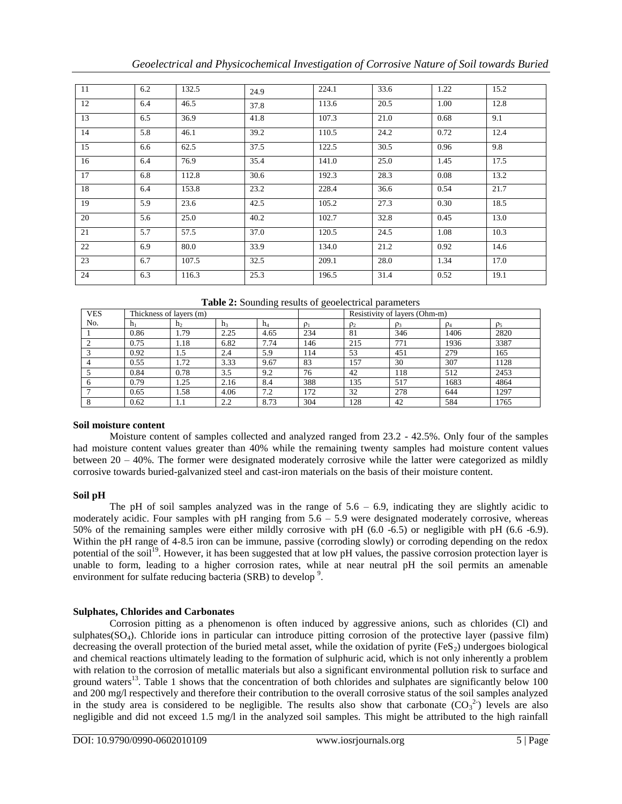| -11 | 6.2 | 132.5 | 24.9 | 224.1 | 33.6 | 1.22 | 15.2 |
|-----|-----|-------|------|-------|------|------|------|
| 12  | 6.4 | 46.5  | 37.8 | 113.6 | 20.5 | 1.00 | 12.8 |
| 13  | 6.5 | 36.9  | 41.8 | 107.3 | 21.0 | 0.68 | 9.1  |
| 14  | 5.8 | 46.1  | 39.2 | 110.5 | 24.2 | 0.72 | 12.4 |
| 15  | 6.6 | 62.5  | 37.5 | 122.5 | 30.5 | 0.96 | 9.8  |
| 16  | 6.4 | 76.9  | 35.4 | 141.0 | 25.0 | 1.45 | 17.5 |
| 17  | 6.8 | 112.8 | 30.6 | 192.3 | 28.3 | 0.08 | 13.2 |
| 18  | 6.4 | 153.8 | 23.2 | 228.4 | 36.6 | 0.54 | 21.7 |
| 19  | 5.9 | 23.6  | 42.5 | 105.2 | 27.3 | 0.30 | 18.5 |
| 20  | 5.6 | 25.0  | 40.2 | 102.7 | 32.8 | 0.45 | 13.0 |
| 21  | 5.7 | 57.5  | 37.0 | 120.5 | 24.5 | 1.08 | 10.3 |
| 22  | 6.9 | 80.0  | 33.9 | 134.0 | 21.2 | 0.92 | 14.6 |
| 23  | 6.7 | 107.5 | 32.5 | 209.1 | 28.0 | 1.34 | 17.0 |
| 24  | 6.3 | 116.3 | 25.3 | 196.5 | 31.4 | 0.52 | 19.1 |

|  | Table 2: Sounding results of geoelectrical parameters |  |
|--|-------------------------------------------------------|--|
|  |                                                       |  |

| <b>VES</b> | Thickness of layers (m) |                |      |       |          | Resistivity of layers (Ohm-m) |          |          |          |  |  |
|------------|-------------------------|----------------|------|-------|----------|-------------------------------|----------|----------|----------|--|--|
| No.        | $h_1$                   | h <sub>2</sub> | h3   | $h_4$ | $\rho_1$ | $\rho_2$                      | $\rho_3$ | $\rho_4$ | $\rho_5$ |  |  |
|            | 0.86                    | 1.79           | 2.25 | 4.65  | 234      | 81                            | 346      | 1406     | 2820     |  |  |
|            | 0.75                    | 1.18           | 6.82 | 7.74  | 146      | 215                           | 771      | 1936     | 3387     |  |  |
|            | 0.92                    | 1.5            | 2.4  | 5.9   | 114      | 53                            | 451      | 279      | 165      |  |  |
|            | 0.55                    | 1.72           | 3.33 | 9.67  | 83       | 157                           | 30       | 307      | 1128     |  |  |
|            | 0.84                    | 0.78           | 3.5  | 9.2   | 76       | 42                            | 118      | 512      | 2453     |  |  |
|            | 0.79                    | 1.25           | 2.16 | 8.4   | 388      | 135                           | 517      | 1683     | 4864     |  |  |
|            | 0.65                    | 1.58           | 4.06 | 7.2   | 172      | 32                            | 278      | 644      | 1297     |  |  |
|            | 0.62                    | 1.1            | 2.2  | 8.73  | 304      | 128                           | 42       | 584      | 1765     |  |  |

### **Soil moisture content**

Moisture content of samples collected and analyzed ranged from 23.2 - 42.5%. Only four of the samples had moisture content values greater than 40% while the remaining twenty samples had moisture content values between 20 – 40%. The former were designated moderately corrosive while the latter were categorized as mildly corrosive towards buried-galvanized steel and cast-iron materials on the basis of their moisture content.

## **Soil pH**

The pH of soil samples analyzed was in the range of  $5.6 - 6.9$ , indicating they are slightly acidic to moderately acidic. Four samples with  $pH$  ranging from  $5.6 - 5.9$  were designated moderately corrosive, whereas 50% of the remaining samples were either mildly corrosive with pH (6.0 -6.5) or negligible with pH (6.6 -6.9). Within the pH range of 4-8.5 iron can be immune, passive (corroding slowly) or corroding depending on the redox potential of the soil<sup>19</sup>. However, it has been suggested that at low pH values, the passive corrosion protection layer is unable to form, leading to a higher corrosion rates, while at near neutral pH the soil permits an amenable environment for sulfate reducing bacteria (SRB) to develop<sup>9</sup>.

## **Sulphates, Chlorides and Carbonates**

Corrosion pitting as a phenomenon is often induced by aggressive anions, such as chlorides (Cl) and sulphates(SO<sub>4</sub>). Chloride ions in particular can introduce pitting corrosion of the protective layer (passive film) decreasing the overall protection of the buried metal asset, while the oxidation of pyrite  $(F \epsilon S_2)$  undergoes biological and chemical reactions ultimately leading to the formation of sulphuric acid, which is not only inherently a problem with relation to the corrosion of metallic materials but also a significant environmental pollution risk to surface and ground waters<sup>13</sup>. Table 1 shows that the concentration of both chlorides and sulphates are significantly below 100 and 200 mg/l respectively and therefore their contribution to the overall corrosive status of the soil samples analyzed in the study area is considered to be negligible. The results also show that carbonate  $(CO_3^2)$  levels are also negligible and did not exceed 1.5 mg/l in the analyzed soil samples. This might be attributed to the high rainfall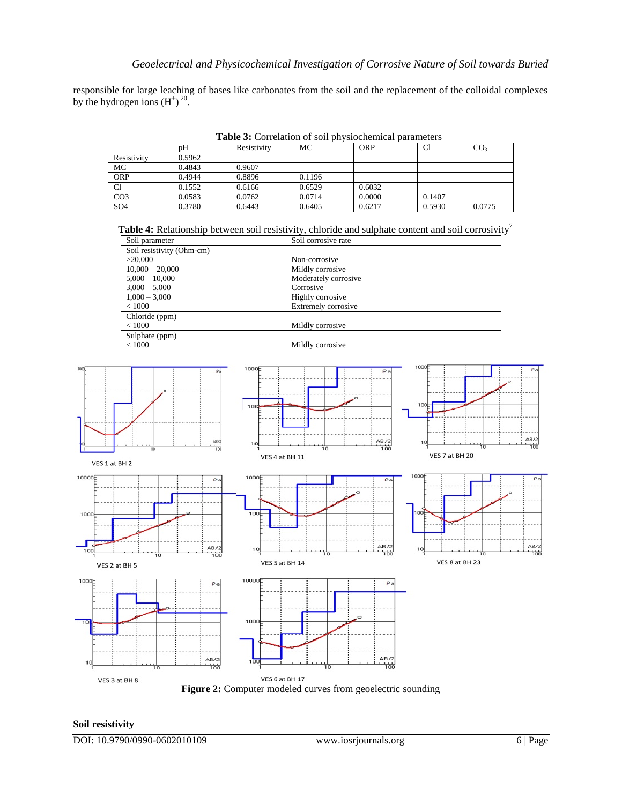responsible for large leaching of bases like carbonates from the soil and the replacement of the colloidal complexes by the hydrogen ions  $(H^{\dagger})^{20}$ .

|                 | pΗ     | Resistivity | МC     | <b>ORP</b> | C1     | CO <sub>3</sub> |
|-----------------|--------|-------------|--------|------------|--------|-----------------|
| Resistivity     | 0.5962 |             |        |            |        |                 |
| MC              | 0.4843 | 0.9607      |        |            |        |                 |
| <b>ORP</b>      | 0.4944 | 0.8896      | 0.1196 |            |        |                 |
| C1              | 0.1552 | 0.6166      | 0.6529 | 0.6032     |        |                 |
| CO <sub>3</sub> | 0.0583 | 0.0762      | 0.0714 | 0.0000     | 0.1407 |                 |
| SO <sub>4</sub> | 0.3780 | 0.6443      | 0.6405 | 0.6217     | 0.5930 | 0.0775          |

**Table 3:** Correlation of soil physiochemical parameters

| <b>Table 4:</b> Relationship between soil resistivity, chloride and sulphate content and soil corrosivity |  |  |
|-----------------------------------------------------------------------------------------------------------|--|--|
|                                                                                                           |  |  |
|                                                                                                           |  |  |

| Soil parameter            | Soil corrosive rate        |
|---------------------------|----------------------------|
| Soil resistivity (Ohm-cm) |                            |
| >20,000                   | Non-corrosive              |
| $10,000 - 20,000$         | Mildly corrosive           |
| $5,000 - 10,000$          | Moderately corrosive       |
| $3,000 - 5,000$           | Corrosive                  |
| $1,000 - 3,000$           | Highly corrosive           |
| < 1000                    | <b>Extremely corrosive</b> |
| Chloride (ppm)            |                            |
| < 1000                    | Mildly corrosive           |
| Sulphate (ppm)            |                            |
| < 1000                    | Mildly corrosive           |



### **Soil resistivity**

DOI: 10.9790/0990-0602010109 www.iosrjournals.org 6 | Page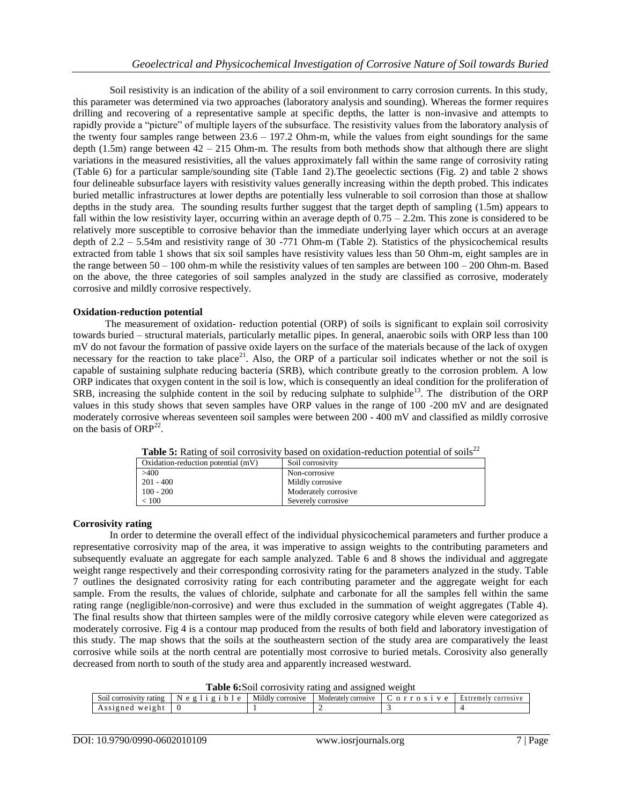Soil resistivity is an indication of the ability of a soil environment to carry corrosion currents. In this study, this parameter was determined via two approaches (laboratory analysis and sounding). Whereas the former requires drilling and recovering of a representative sample at specific depths, the latter is non-invasive and attempts to rapidly provide a "picture" of multiple layers of the subsurface. The resistivity values from the laboratory analysis of the twenty four samples range between  $23.6 - 197.2$  Ohm-m, while the values from eight soundings for the same depth (1.5m) range between 42 – 215 Ohm-m. The results from both methods show that although there are slight variations in the measured resistivities, all the values approximately fall within the same range of corrosivity rating (Table 6) for a particular sample/sounding site (Table 1and 2).The geoelectic sections (Fig. 2) and table 2 shows four delineable subsurface layers with resistivity values generally increasing within the depth probed. This indicates buried metallic infrastructures at lower depths are potentially less vulnerable to soil corrosion than those at shallow depths in the study area. The sounding results further suggest that the target depth of sampling (1.5m) appears to fall within the low resistivity layer, occurring within an average depth of  $0.75 - 2.2$ m. This zone is considered to be relatively more susceptible to corrosive behavior than the immediate underlying layer which occurs at an average depth of  $2.2 - 5.54$ m and resistivity range of 30 -771 Ohm-m (Table 2). Statistics of the physicochemical results extracted from table 1 shows that six soil samples have resistivity values less than 50 Ohm-m, eight samples are in the range between 50 – 100 ohm-m while the resistivity values of ten samples are between 100 – 200 Ohm-m. Based on the above, the three categories of soil samples analyzed in the study are classified as corrosive, moderately corrosive and mildly corrosive respectively.

### **Oxidation-reduction potential**

The measurement of oxidation- reduction potential (ORP) of soils is significant to explain soil corrosivity towards buried – structural materials, particularly metallic pipes. In general, anaerobic soils with ORP less than 100 mV do not favour the formation of passive oxide layers on the surface of the materials because of the lack of oxygen necessary for the reaction to take place<sup>21</sup>. Also, the ORP of a particular soil indicates whether or not the soil is capable of sustaining sulphate reducing bacteria (SRB), which contribute greatly to the corrosion problem. A low ORP indicates that oxygen content in the soil is low, which is consequently an ideal condition for the proliferation of  $SRB$ , increasing the sulphide content in the soil by reducing sulphate to sulphide<sup>13</sup>. The distribution of the ORP values in this study shows that seven samples have ORP values in the range of 100 -200 mV and are designated moderately corrosive whereas seventeen soil samples were between 200 - 400 mV and classified as mildly corrosive on the basis of ORP<sup>22</sup>.

|                                      | <b>THATE AT THE OF BOH COHALLY CHOCH ON ORDER TO HORSE IN A DOMINION OF BOHD</b> |
|--------------------------------------|----------------------------------------------------------------------------------|
| Oxidation-reduction potential $(mV)$ | Soil corrosivity                                                                 |
| >400                                 | Non-corrosive                                                                    |
| $201 - 400$                          | Mildly corrosive                                                                 |
| $100 - 200$                          | Moderately corrosive                                                             |
| < 100                                | Severely corrosive                                                               |
|                                      |                                                                                  |

**Table 5:** Rating of soil corrosivity based on oxidation-reduction potential of soils<sup>22</sup>

### **Corrosivity rating**

In order to determine the overall effect of the individual physicochemical parameters and further produce a representative corrosivity map of the area, it was imperative to assign weights to the contributing parameters and subsequently evaluate an aggregate for each sample analyzed. Table 6 and 8 shows the individual and aggregate weight range respectively and their corresponding corrosivity rating for the parameters analyzed in the study. Table 7 outlines the designated corrosivity rating for each contributing parameter and the aggregate weight for each sample. From the results, the values of chloride, sulphate and carbonate for all the samples fell within the same rating range (negligible/non-corrosive) and were thus excluded in the summation of weight aggregates (Table 4). The final results show that thirteen samples were of the mildly corrosive category while eleven were categorized as moderately corrosive. Fig 4 is a contour map produced from the results of both field and laboratory investigation of this study. The map shows that the soils at the southeastern section of the study area are comparatively the least corrosive while soils at the north central are potentially most corrosive to buried metals. Corosivity also generally decreased from north to south of the study area and apparently increased westward.

**Table 6:**Soil corrosivity rating and assigned weight

|                                            | TWAR AND ALL COLLOGETICS TRAINING WORLDING TECHNIC |                     |                           |  |                            |  |  |  |  |  |  |  |  |  |
|--------------------------------------------|----------------------------------------------------|---------------------|---------------------------|--|----------------------------|--|--|--|--|--|--|--|--|--|
| SO1L<br><sup>,</sup> ratıng<br>COLLOSIVITY | $\alpha$ $\alpha$<br>$\alpha$                      | Mildly<br>corrosive | Moderately<br>/ corrosive |  | treme.<br>Ext<br>corrosive |  |  |  |  |  |  |  |  |  |
| weight<br>Assigned                         |                                                    |                     |                           |  |                            |  |  |  |  |  |  |  |  |  |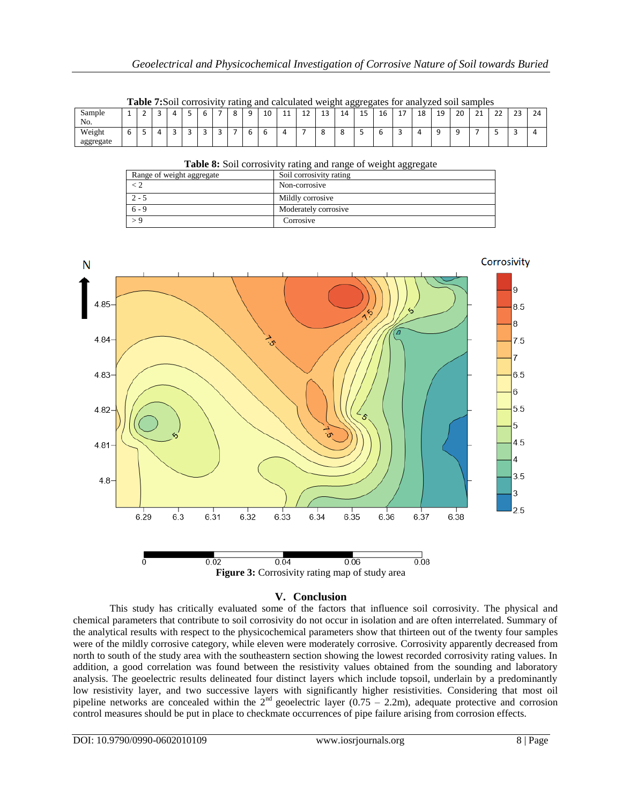|           |  |  |  |  | <b>Table 7:Soil corrosivity rating and calculated weight aggregates for analyzed soil samples</b> |    |    |    |    |    |    |    |           |    |  |
|-----------|--|--|--|--|---------------------------------------------------------------------------------------------------|----|----|----|----|----|----|----|-----------|----|--|
| Sample    |  |  |  |  | 10                                                                                                | 11 | 12 | 14 | 16 | 18 | 19 | 20 | <b>01</b> | 23 |  |
| No.       |  |  |  |  |                                                                                                   |    |    |    |    |    |    |    |           |    |  |
| Weight    |  |  |  |  |                                                                                                   |    |    |    |    |    |    |    |           |    |  |
| aggregate |  |  |  |  |                                                                                                   |    |    |    |    |    |    |    |           |    |  |

|  |  |  |  | Table 7:Soil corrosivity rating and calculated weight aggregates for analyzed soil samples |  |
|--|--|--|--|--------------------------------------------------------------------------------------------|--|
|  |  |  |  |                                                                                            |  |
|  |  |  |  |                                                                                            |  |
|  |  |  |  |                                                                                            |  |

| Table 8: Soil corrosivity rating and range of weight aggregate |                         |
|----------------------------------------------------------------|-------------------------|
| Range of weight aggregate                                      | Soil corrosivity rating |
|                                                                | Non-corrosive           |
| $2 - 5$                                                        | Mildly corrosive        |
| $6 - 9$                                                        | Moderately corrosive    |
|                                                                | Corrosive               |



# **Figure 3:** Corrosivity rating map of study area

## **V. Conclusion**

This study has critically evaluated some of the factors that influence soil corrosivity. The physical and chemical parameters that contribute to soil corrosivity do not occur in isolation and are often interrelated. Summary of the analytical results with respect to the physicochemical parameters show that thirteen out of the twenty four samples were of the mildly corrosive category, while eleven were moderately corrosive. Corrosivity apparently decreased from north to south of the study area with the southeastern section showing the lowest recorded corrosivity rating values. In addition, a good correlation was found between the resistivity values obtained from the sounding and laboratory analysis. The geoelectric results delineated four distinct layers which include topsoil, underlain by a predominantly low resistivity layer, and two successive layers with significantly higher resistivities. Considering that most oil pipeline networks are concealed within the  $2<sup>nd</sup>$  geoelectric layer (0.75 – 2.2m), adequate protective and corrosion control measures should be put in place to checkmate occurrences of pipe failure arising from corrosion effects.